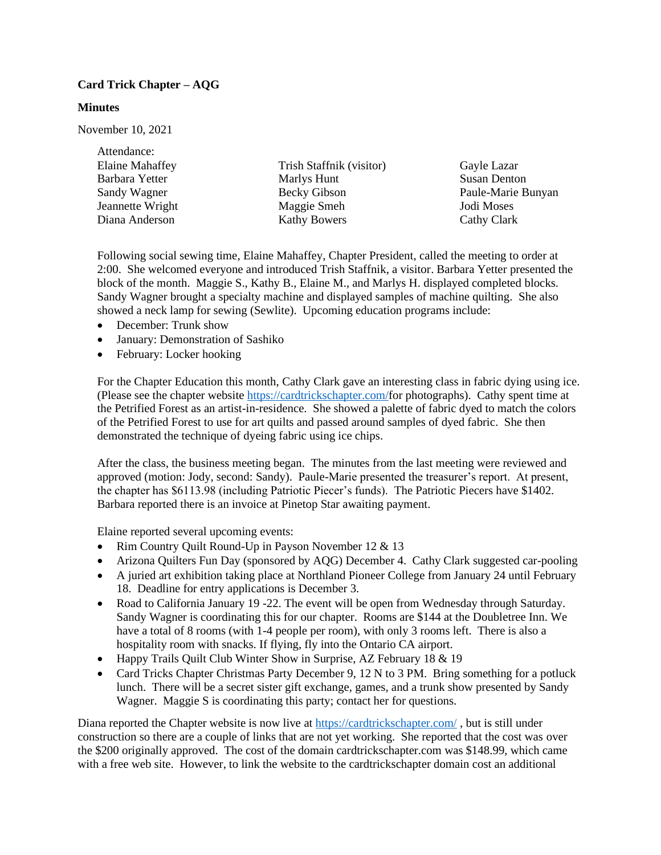## **Card Trick Chapter – AQG**

## **Minutes**

November 10, 2021

| Attendance:            |                          |                     |
|------------------------|--------------------------|---------------------|
| <b>Elaine Mahaffey</b> | Trish Staffnik (visitor) | Gayle Lazar         |
| Barbara Yetter         | Marlys Hunt              | <b>Susan Denton</b> |
| Sandy Wagner           | Becky Gibson             | Paule-Marie Bunyan  |
| Jeannette Wright       | Maggie Smeh              | Jodi Moses          |
| Diana Anderson         | <b>Kathy Bowers</b>      | Cathy Clark         |
|                        |                          |                     |

Following social sewing time, Elaine Mahaffey, Chapter President, called the meeting to order at 2:00. She welcomed everyone and introduced Trish Staffnik, a visitor. Barbara Yetter presented the block of the month. Maggie S., Kathy B., Elaine M., and Marlys H. displayed completed blocks. Sandy Wagner brought a specialty machine and displayed samples of machine quilting. She also showed a neck lamp for sewing (Sewlite). Upcoming education programs include:

- December: Trunk show
- January: Demonstration of Sashiko
- February: Locker hooking

For the Chapter Education this month, Cathy Clark gave an interesting class in fabric dying using ice. (Please see the chapter website [https://cardtrickschapter.com/f](https://cardtrickschapter.com/)or photographs). Cathy spent time at the Petrified Forest as an artist-in-residence. She showed a palette of fabric dyed to match the colors of the Petrified Forest to use for art quilts and passed around samples of dyed fabric. She then demonstrated the technique of dyeing fabric using ice chips.

After the class, the business meeting began. The minutes from the last meeting were reviewed and approved (motion: Jody, second: Sandy). Paule-Marie presented the treasurer's report. At present, the chapter has \$6113.98 (including Patriotic Piecer's funds). The Patriotic Piecers have \$1402. Barbara reported there is an invoice at Pinetop Star awaiting payment.

Elaine reported several upcoming events:

- Rim Country Quilt Round-Up in Payson November 12 & 13
- Arizona Quilters Fun Day (sponsored by AQG) December 4. Cathy Clark suggested car-pooling
- A juried art exhibition taking place at Northland Pioneer College from January 24 until February 18. Deadline for entry applications is December 3.
- Road to California January 19 -22. The event will be open from Wednesday through Saturday. Sandy Wagner is coordinating this for our chapter. Rooms are \$144 at the Doubletree Inn. We have a total of 8 rooms (with 1-4 people per room), with only 3 rooms left. There is also a hospitality room with snacks. If flying, fly into the Ontario CA airport.
- Happy Trails Quilt Club Winter Show in Surprise, AZ February 18 & 19
- Card Tricks Chapter Christmas Party December 9, 12 N to 3 PM. Bring something for a potluck lunch. There will be a secret sister gift exchange, games, and a trunk show presented by Sandy Wagner. Maggie S is coordinating this party; contact her for questions.

Diana reported the Chapter website is now live at<https://cardtrickschapter.com/> , but is still under construction so there are a couple of links that are not yet working. She reported that the cost was over the \$200 originally approved. The cost of the domain cardtrickschapter.com was \$148.99, which came with a free web site. However, to link the website to the cardtrickschapter domain cost an additional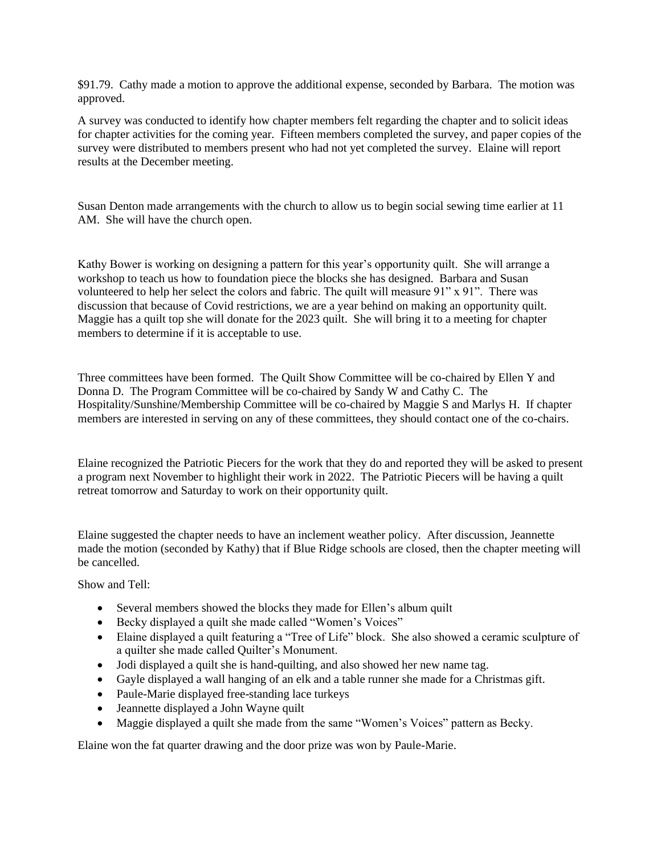\$91.79. Cathy made a motion to approve the additional expense, seconded by Barbara. The motion was approved.

A survey was conducted to identify how chapter members felt regarding the chapter and to solicit ideas for chapter activities for the coming year. Fifteen members completed the survey, and paper copies of the survey were distributed to members present who had not yet completed the survey. Elaine will report results at the December meeting.

Susan Denton made arrangements with the church to allow us to begin social sewing time earlier at 11 AM. She will have the church open.

Kathy Bower is working on designing a pattern for this year's opportunity quilt. She will arrange a workshop to teach us how to foundation piece the blocks she has designed. Barbara and Susan volunteered to help her select the colors and fabric. The quilt will measure 91" x 91". There was discussion that because of Covid restrictions, we are a year behind on making an opportunity quilt. Maggie has a quilt top she will donate for the 2023 quilt. She will bring it to a meeting for chapter members to determine if it is acceptable to use.

Three committees have been formed. The Quilt Show Committee will be co-chaired by Ellen Y and Donna D. The Program Committee will be co-chaired by Sandy W and Cathy C. The Hospitality/Sunshine/Membership Committee will be co-chaired by Maggie S and Marlys H. If chapter members are interested in serving on any of these committees, they should contact one of the co-chairs.

Elaine recognized the Patriotic Piecers for the work that they do and reported they will be asked to present a program next November to highlight their work in 2022. The Patriotic Piecers will be having a quilt retreat tomorrow and Saturday to work on their opportunity quilt.

Elaine suggested the chapter needs to have an inclement weather policy. After discussion, Jeannette made the motion (seconded by Kathy) that if Blue Ridge schools are closed, then the chapter meeting will be cancelled.

Show and Tell:

- Several members showed the blocks they made for Ellen's album quilt
- Becky displayed a quilt she made called "Women's Voices"
- Elaine displayed a quilt featuring a "Tree of Life" block. She also showed a ceramic sculpture of a quilter she made called Quilter's Monument.
- Jodi displayed a quilt she is hand-quilting, and also showed her new name tag.
- Gayle displayed a wall hanging of an elk and a table runner she made for a Christmas gift.
- Paule-Marie displayed free-standing lace turkeys
- Jeannette displayed a John Wayne quilt
- Maggie displayed a quilt she made from the same "Women's Voices" pattern as Becky.

Elaine won the fat quarter drawing and the door prize was won by Paule-Marie.